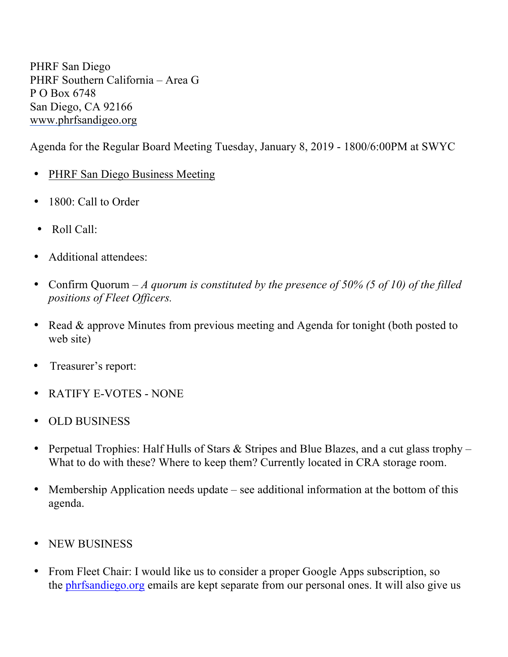PHRF San Diego PHRF Southern California – Area G P O Box 6748 San Diego, CA 92166 www.phrfsandigeo.org

Agenda for the Regular Board Meeting Tuesday, January 8, 2019 - 1800/6:00PM at SWYC

- PHRF San Diego Business Meeting
- 1800: Call to Order
- Roll Call:
- Additional attendees:
- Confirm Quorum *A quorum is constituted by the presence of 50% (5 of 10) of the filled positions of Fleet Officers.*
- Read & approve Minutes from previous meeting and Agenda for tonight (both posted to web site)
- Treasurer's report:
- RATIFY E-VOTES NONE
- OLD BUSINESS
- Perpetual Trophies: Half Hulls of Stars & Stripes and Blue Blazes, and a cut glass trophy What to do with these? Where to keep them? Currently located in CRA storage room.
- Membership Application needs update see additional information at the bottom of this agenda.
- NEW BUSINESS
- From Fleet Chair: I would like us to consider a proper Google Apps subscription, so the phrfsandiego.org emails are kept separate from our personal ones. It will also give us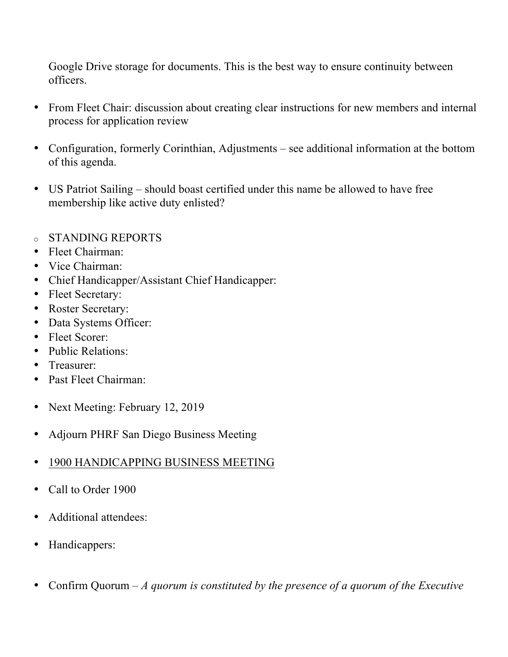Google Drive storage for documents. This is the best way to ensure continuity between officers.

- From Fleet Chair: discussion about creating clear instructions for new members and internal process for application review
- Configuration, formerly Corinthian, Adjustments see additional information at the bottom of this agenda.
- US Patriot Sailing should boast certified under this name be allowed to have free membership like active duty enlisted?
- o STANDING REPORTS
- Fleet Chairman:
- Vice Chairman:
- Chief Handicapper/Assistant Chief Handicapper:
- Fleet Secretary:
- Roster Secretary:
- Data Systems Officer:
- Fleet Scorer:
- Public Relations:
- Treasurer:
- Past Fleet Chairman:
- Next Meeting: February 12, 2019
- Adjourn PHRF San Diego Business Meeting
- 1900 HANDICAPPING BUSINESS MEETING
- Call to Order 1900
- Additional attendees:
- Handicappers:
- Confirm Quorum *A quorum is constituted by the presence of a quorum of the Executive*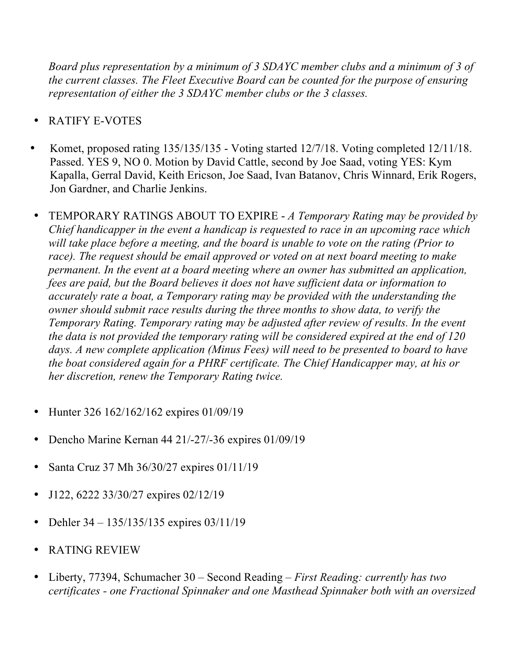*Board plus representation by a minimum of 3 SDAYC member clubs and a minimum of 3 of the current classes. The Fleet Executive Board can be counted for the purpose of ensuring representation of either the 3 SDAYC member clubs or the 3 classes.*

- RATIFY E-VOTES
- Komet, proposed rating 135/135/135 Voting started 12/7/18. Voting completed 12/11/18. Passed. YES 9, NO 0. Motion by David Cattle, second by Joe Saad, voting YES: Kym Kapalla, Gerral David, Keith Ericson, Joe Saad, Ivan Batanov, Chris Winnard, Erik Rogers, Jon Gardner, and Charlie Jenkins.
- TEMPORARY RATINGS ABOUT TO EXPIRE *A Temporary Rating may be provided by Chief handicapper in the event a handicap is requested to race in an upcoming race which will take place before a meeting, and the board is unable to vote on the rating (Prior to race). The request should be email approved or voted on at next board meeting to make permanent. In the event at a board meeting where an owner has submitted an application, fees are paid, but the Board believes it does not have sufficient data or information to accurately rate a boat, a Temporary rating may be provided with the understanding the owner should submit race results during the three months to show data, to verify the Temporary Rating. Temporary rating may be adjusted after review of results. In the event the data is not provided the temporary rating will be considered expired at the end of 120 days. A new complete application (Minus Fees) will need to be presented to board to have the boat considered again for a PHRF certificate. The Chief Handicapper may, at his or her discretion, renew the Temporary Rating twice.*
- Hunter 326 162/162/162 expires 01/09/19
- Dencho Marine Kernan 44 21/-27/-36 expires 01/09/19
- Santa Cruz 37 Mh 36/30/27 expires 01/11/19
- J122, 6222 33/30/27 expires 02/12/19
- Dehler 34 135/135/135 expires 03/11/19
- RATING REVIEW
- Liberty, 77394, Schumacher 30 Second Reading *First Reading: currently has two certificates - one Fractional Spinnaker and one Masthead Spinnaker both with an oversized*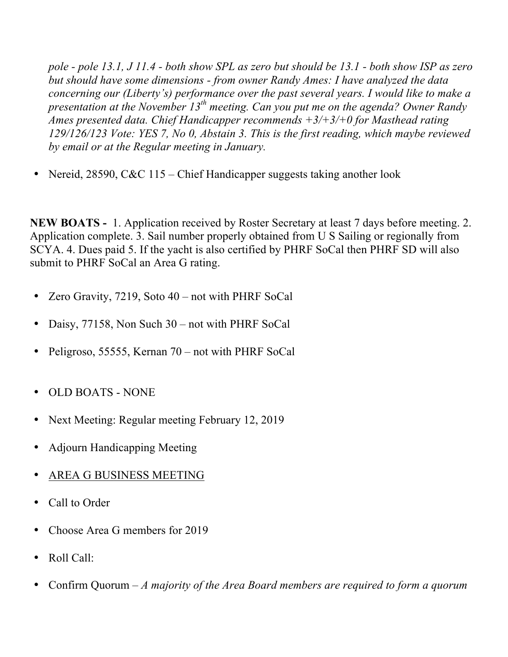*pole - pole 13.1, J 11.4 - both show SPL as zero but should be 13.1 - both show ISP as zero but should have some dimensions - from owner Randy Ames: I have analyzed the data concerning our (Liberty's) performance over the past several years. I would like to make a presentation at the November 13th meeting. Can you put me on the agenda? Owner Randy Ames presented data. Chief Handicapper recommends +3/+3/+0 for Masthead rating 129/126/123 Vote: YES 7, No 0, Abstain 3. This is the first reading, which maybe reviewed by email or at the Regular meeting in January.* 

• Nereid, 28590, C&C 115 – Chief Handicapper suggests taking another look

**NEW BOATS -** 1. Application received by Roster Secretary at least 7 days before meeting. 2. Application complete. 3. Sail number properly obtained from U S Sailing or regionally from SCYA. 4. Dues paid 5. If the yacht is also certified by PHRF SoCal then PHRF SD will also submit to PHRF SoCal an Area G rating.

- Zero Gravity, 7219, Soto 40 not with PHRF SoCal
- Daisy, 77158, Non Such 30 not with PHRF SoCal
- Peligroso, 55555, Kernan 70 not with PHRF SoCal
- OLD BOATS NONE
- Next Meeting: Regular meeting February 12, 2019
- Adjourn Handicapping Meeting
- AREA G BUSINESS MEETING
- Call to Order
- Choose Area G members for 2019
- Roll Call:
- Confirm Quorum *A majority of the Area Board members are required to form a quorum*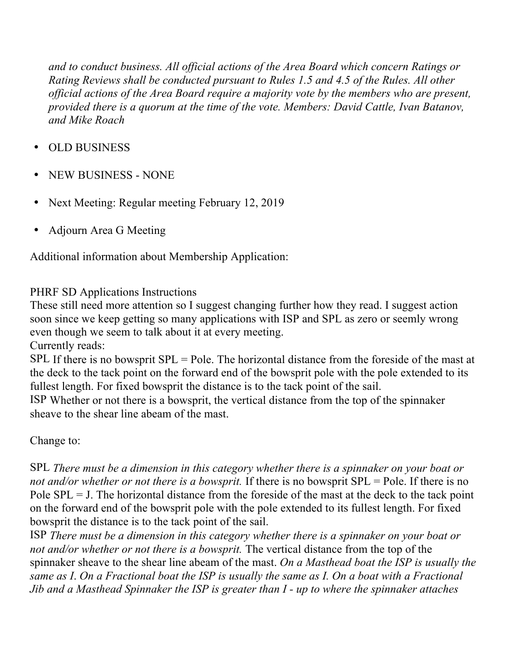*and to conduct business. All official actions of the Area Board which concern Ratings or Rating Reviews shall be conducted pursuant to Rules 1.5 and 4.5 of the Rules. All other official actions of the Area Board require a majority vote by the members who are present, provided there is a quorum at the time of the vote. Members: David Cattle, Ivan Batanov, and Mike Roach*

- OLD BUSINESS
- NEW BUSINESS NONE
- Next Meeting: Regular meeting February 12, 2019
- Adjourn Area G Meeting

Additional information about Membership Application:

## PHRF SD Applications Instructions

These still need more attention so I suggest changing further how they read. I suggest action soon since we keep getting so many applications with ISP and SPL as zero or seemly wrong even though we seem to talk about it at every meeting.

Currently reads:

SPL If there is no bowsprit SPL = Pole. The horizontal distance from the foreside of the mast at the deck to the tack point on the forward end of the bowsprit pole with the pole extended to its fullest length. For fixed bowsprit the distance is to the tack point of the sail.

ISP Whether or not there is a bowsprit, the vertical distance from the top of the spinnaker sheave to the shear line abeam of the mast.

Change to:

SPL *There must be a dimension in this category whether there is a spinnaker on your boat or not and/or whether or not there is a bowsprit.* If there is no bowsprit SPL = Pole. If there is no Pole  $SPL = J$ . The horizontal distance from the foreside of the mast at the deck to the tack point on the forward end of the bowsprit pole with the pole extended to its fullest length. For fixed bowsprit the distance is to the tack point of the sail.

ISP *There must be a dimension in this category whether there is a spinnaker on your boat or not and/or whether or not there is a bowsprit.* The vertical distance from the top of the spinnaker sheave to the shear line abeam of the mast. *On a Masthead boat the ISP is usually the same as I*. *On a Fractional boat the ISP is usually the same as I. On a boat with a Fractional Jib and a Masthead Spinnaker the ISP is greater than I - up to where the spinnaker attaches*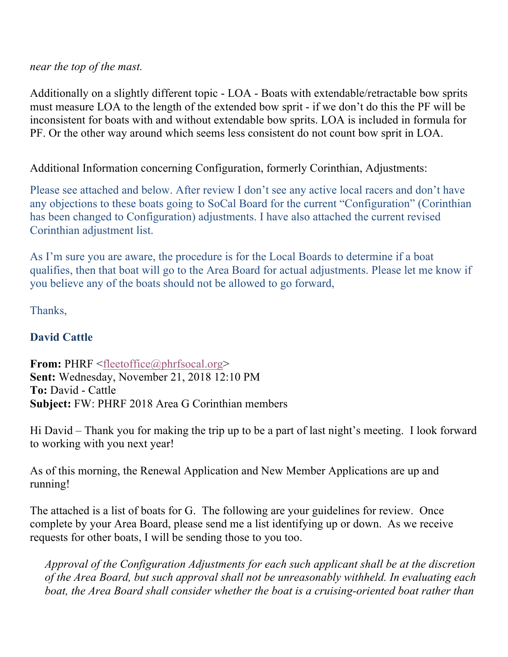## *near the top of the mast.*

Additionally on a slightly different topic - LOA - Boats with extendable/retractable bow sprits must measure LOA to the length of the extended bow sprit - if we don't do this the PF will be inconsistent for boats with and without extendable bow sprits. LOA is included in formula for PF. Or the other way around which seems less consistent do not count bow sprit in LOA.

## Additional Information concerning Configuration, formerly Corinthian, Adjustments:

Please see attached and below. After review I don't see any active local racers and don't have any objections to these boats going to SoCal Board for the current "Configuration" (Corinthian has been changed to Configuration) adjustments. I have also attached the current revised Corinthian adjustment list.

As I'm sure you are aware, the procedure is for the Local Boards to determine if a boat qualifies, then that boat will go to the Area Board for actual adjustments. Please let me know if you believe any of the boats should not be allowed to go forward,

Thanks,

## **David Cattle**

**From:** PHRF <fleetoffice@phrfsocal.org> **Sent:** Wednesday, November 21, 2018 12:10 PM **To:** David - Cattle **Subject:** FW: PHRF 2018 Area G Corinthian members

Hi David – Thank you for making the trip up to be a part of last night's meeting. I look forward to working with you next year!

As of this morning, the Renewal Application and New Member Applications are up and running!

The attached is a list of boats for G. The following are your guidelines for review. Once complete by your Area Board, please send me a list identifying up or down. As we receive requests for other boats, I will be sending those to you too.

*Approval of the Configuration Adjustments for each such applicant shall be at the discretion of the Area Board, but such approval shall not be unreasonably withheld. In evaluating each boat, the Area Board shall consider whether the boat is a cruising-oriented boat rather than*